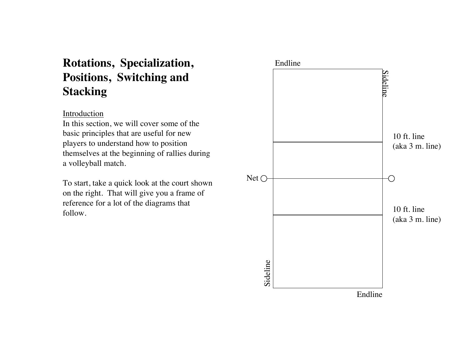# **Rotations, Specialization, Positions, Switching and Stacking**

### Introduction

In this section, we will cover some of the basic principles that are useful for new players to understand how to position themselves at the beginning of rallies during a volleyball match.

To start, take a quick look at the court shown on the right. That will give you a frame of reference for a lot of the diagrams that follow.

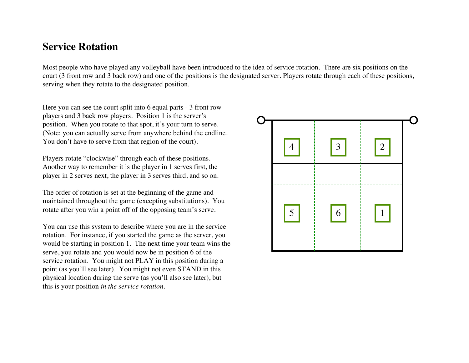## **Service Rotation**

Most people who have played any volleyball have been introduced to the idea of service rotation. There are six positions on the court (3 front row and 3 back row) and one of the positions is the designated server. Players rotate through each of these positions, serving when they rotate to the designated position.

Here you can see the court split into 6 equal parts - 3 front row players and 3 back row players. Position 1 is the server's position. When you rotate to that spot, it's your turn to serve. (Note: you can actually serve from anywhere behind the endline. You don't have to serve from that region of the court).

Players rotate "clockwise" through each of these positions. Another way to remember it is the player in 1 serves first, the player in 2 serves next, the player in 3 serves third, and so on.

The order of rotation is set at the beginning of the game and maintained throughout the game (excepting substitutions). You rotate after you win a point off of the opposing team's serve.

You can use this system to describe where you are in the service rotation. For instance, if you started the game as the server, you would be starting in position 1. The next time your team wins the serve, you rotate and you would now be in position 6 of the service rotation. You might not PLAY in this position during a point (as you'll see later). You might not even STAND in this physical location during the serve (as you'll also see later), but this is your position *in the service rotation*.

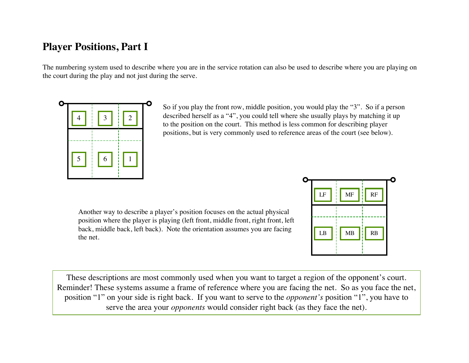# **Player Positions, Part I**

The numbering system used to describe where you are in the service rotation can also be used to describe where you are playing on the court during the play and not just during the serve.



So if you play the front row, middle position, you would play the "3". So if a person described herself as a "4", you could tell where she usually plays by matching it up to the position on the court. This method is less common for describing player positions, but is very commonly used to reference areas of the court (see below).

Another way to describe a player's position focuses on the actual physical position where the player is playing (left front, middle front, right front, left back, middle back, left back). Note the orientation assumes you are facing the net.



These descriptions are most commonly used when you want to target a region of the opponent's court. Reminder! These systems assume a frame of reference where you are facing the net. So as you face the net, position "1" on your side is right back. If you want to serve to the *opponent's* position "1", you have to serve the area your *opponents* would consider right back (as they face the net).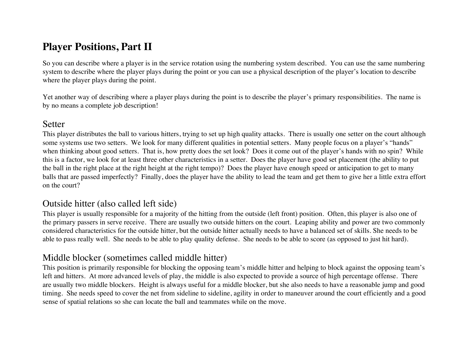# **Player Positions, Part II**

So you can describe where a player is in the service rotation using the numbering system described. You can use the same numbering system to describe where the player plays during the point or you can use a physical description of the player's location to describe where the player plays during the point.

Yet another way of describing where a player plays during the point is to describe the player's primary responsibilities. The name is by no means a complete job description!

### Setter

This player distributes the ball to various hitters, trying to set up high quality attacks. There is usually one setter on the court although some systems use two setters. We look for many different qualities in potential setters. Many people focus on a player's "hands" when thinking about good setters. That is, how pretty does the set look? Does it come out of the player's hands with no spin? While this is a factor, we look for at least three other characteristics in a setter. Does the player have good set placement (the ability to put the ball in the right place at the right height at the right tempo)? Does the player have enough speed or anticipation to get to many balls that are passed imperfectly? Finally, does the player have the ability to lead the team and get them to give her a little extra effort on the court?

### Outside hitter (also called left side)

This player is usually responsible for a majority of the hitting from the outside (left front) position. Often, this player is also one of the primary passers in serve receive. There are usually two outside hitters on the court. Leaping ability and power are two commonly considered characteristics for the outside hitter, but the outside hitter actually needs to have a balanced set of skills. She needs to be able to pass really well. She needs to be able to play quality defense. She needs to be able to score (as opposed to just hit hard).

## Middle blocker (sometimes called middle hitter)

This position is primarily responsible for blocking the opposing team's middle hitter and helping to block against the opposing team's left and hitters. At more advanced levels of play, the middle is also expected to provide a source of high percentage offense. There are usually two middle blockers. Height is always useful for a middle blocker, but she also needs to have a reasonable jump and good timing. She needs speed to cover the net from sideline to sideline, agility in order to maneuver around the court efficiently and a good sense of spatial relations so she can locate the ball and teammates while on the move.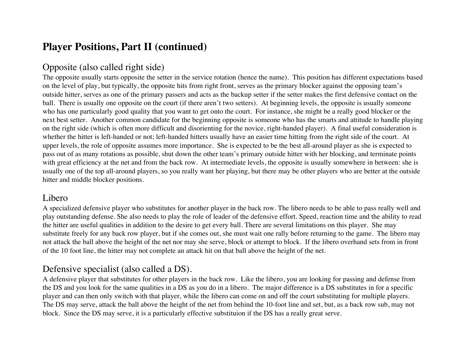# **Player Positions, Part II (continued)**

## Opposite (also called right side)

The opposite usually starts opposite the setter in the service rotation (hence the name). This position has different expectations based on the level of play, but typically, the opposite hits from right front, serves as the primary blocker against the opposing team's outside hitter, serves as one of the primary passers and acts as the backup setter if the setter makes the first defensive contact on the ball. There is usually one opposite on the court (if there aren't two setters). At beginning levels, the opposite is usually someone who has one particularly good quality that you want to get onto the court. For instance, she might be a really good blocker or the next best setter. Another common candidate for the beginning opposite is someone who has the smarts and attitude to handle playing on the right side (which is often more difficult and disorienting for the novice, right-handed player). A final useful consideration is whether the hitter is left-handed or not; left-handed hitters usually have an easier time hitting from the right side of the court. At upper levels, the role of opposite assumes more importance. She is expected to be the best all-around player as she is expected to pass out of as many rotations as possible, shut down the other team's primary outside hitter with her blocking, and terminate points with great efficiency at the net and from the back row. At intermediate levels, the opposite is usually somewhere in between: she is usually one of the top all-around players, so you really want her playing, but there may be other players who are better at the outside hitter and middle blocker positions.

### Libero

A specialized defensive player who substitutes for another player in the back row. The libero needs to be able to pass really well and play outstanding defense. She also needs to play the role of leader of the defensive effort. Speed, reaction time and the ability to read the hitter are useful qualities in addition to the desire to get every ball. There are several limitations on this player. She may substitute freely for any back row player, but if she comes out, she must wait one rally before returning to the game. The libero may not attack the ball above the height of the net nor may she serve, block or attempt to block. If the libero overhand sets from in front of the 10 foot line, the hitter may not complete an attack hit on that ball above the height of the net.

## Defensive specialist (also called a DS).

A defensive player that substitutes for other players in the back row. Like the libero, you are looking for passing and defense from the DS and you look for the same qualities in a DS as you do in a libero. The major difference is a DS substitutes in for a specific player and can then only switch with that player, while the libero can come on and off the court substituting for multiple players. The DS may serve, attack the ball above the height of the net from behind the 10-foot line and set, but, as a back row sub, may not block. Since the DS may serve, it is a particularly effective substituion if the DS has a really great serve.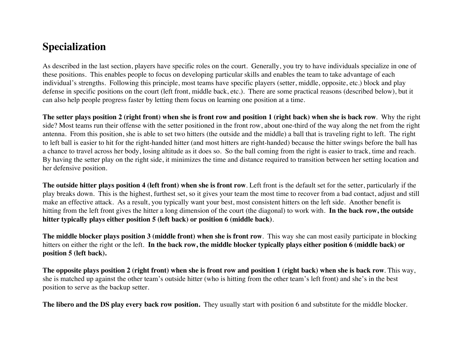# **Specialization**

As described in the last section, players have specific roles on the court. Generally, you try to have individuals specialize in one of these positions. This enables people to focus on developing particular skills and enables the team to take advantage of each individual's strengths. Following this principle, most teams have specific players (setter, middle, opposite, etc.) block and play defense in specific positions on the court (left front, middle back, etc.). There are some practical reasons (described below), but it can also help people progress faster by letting them focus on learning one position at a time.

**The setter plays position 2 (right front) when she is front row and position 1 (right back) when she is back row**. Why the right side? Most teams run their offense with the setter positioned in the front row, about one-third of the way along the net from the right antenna. From this position, she is able to set two hitters (the outside and the middle) a ball that is traveling right to left. The right to left ball is easier to hit for the right-handed hitter (and most hitters are right-handed) because the hitter swings before the ball has a chance to travel across her body, losing altitude as it does so. So the ball coming from the right is easier to track, time and reach. By having the setter play on the right side, it minimizes the time and distance required to transition between her setting location and her defensive position.

**The outside hitter plays position 4 (left front) when she is front row**. Left front is the default set for the setter, particularly if the play breaks down. This is the highest, furthest set, so it gives your team the most time to recover from a bad contact, adjust and still make an effective attack. As a result, you typically want your best, most consistent hitters on the left side. Another benefit is hitting from the left front gives the hitter a long dimension of the court (the diagonal) to work with. **In the back row, the outside hitter typically plays either position 5 (left back) or position 6 (middle back)**.

**The middle blocker plays position 3 (middle front) when she is front row**. This way she can most easily participate in blocking hitters on either the right or the left. **In the back row, the middle blocker typically plays either position 6 (middle back) or position 5 (left back).**

**The opposite plays position 2 (right front) when she is front row and position 1 (right back) when she is back row**. This way, she is matched up against the other team's outside hitter (who is hitting from the other team's left front) and she's in the best position to serve as the backup setter.

**The libero and the DS play every back row position.** They usually start with position 6 and substitute for the middle blocker.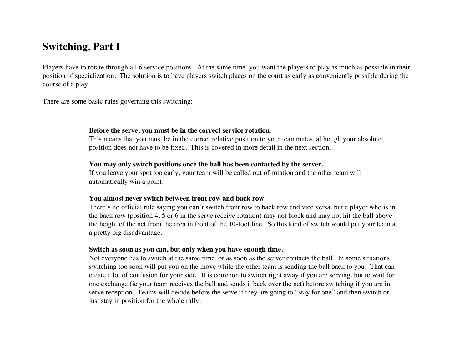# **Switching, Part I**

Players have to rotate through all 6 service positions. At the same time, you want the players to play as much as possible in their position of specialization. The solution is to have players switch places on the court as early as conveniently possible during the course of a play.

There are some basic rules governing this switching:

#### **Before the serve, you must be in the correct service rotation**.

This means that you must be in the correct relative position to your teammates, although your absolute position does not have to be fixed. This is covered in more detail in the next section.

### **You may only switch positions once the ball has been contacted by the server.**

If you leave your spot too early, your team will be called out of rotation and the other team will automatically win a point.

### **You almost never switch between front row and back row**.

There's no official rule saying you can't switch front row to back row and vice versa, but a player who is in the back row (position 4, 5 or 6 in the serve receive rotation) may not block and may not hit the ball above the height of the net from the area in front of the 10-foot line. So this kind of switch would put your team at a pretty big disadvantage.

### **Switch as soon as you can, but only when you have enough time.**

Not everyone has to switch at the same time, or as soon as the server contacts the ball. In some situations, switching too soon will put you on the move while the other team is sending the ball back to you. That can create a lot of confusion for your side. It is common to switch right away if you are serving, but to wait for one exchange (ie your team receives the ball and sends it back over the net) before switching if you are in serve reception. Teams will decide before the serve if they are going to "stay for one" and then switch or just stay in position for the whole rally.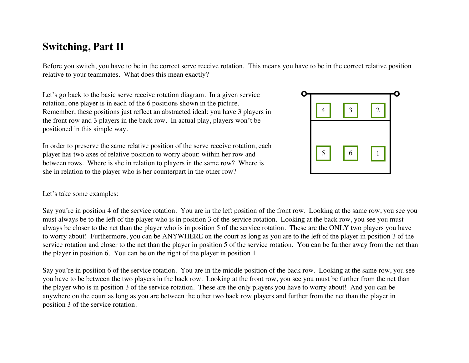# **Switching, Part II**

Before you switch, you have to be in the correct serve receive rotation. This means you have to be in the correct relative position relative to your teammates. What does this mean exactly?

Let's go back to the basic serve receive rotation diagram. In a given service rotation, one player is in each of the 6 positions shown in the picture. Remember, these positions just reflect an abstracted ideal: you have 3 players in the front row and 3 players in the back row. In actual play, players won't be positioned in this simple way.

In order to preserve the same relative position of the serve receive rotation, each player has two axes of relative position to worry about: within her row and between rows. Where is she in relation to players in the same row? Where is she in relation to the player who is her counterpart in the other row?



### Let's take some examples:

Say you're in position 4 of the service rotation. You are in the left position of the front row. Looking at the same row, you see you must always be to the left of the player who is in position 3 of the service rotation. Looking at the back row, you see you must always be closer to the net than the player who is in position 5 of the service rotation. These are the ONLY two players you have to worry about! Furthermore, you can be ANYWHERE on the court as long as you are to the left of the player in position 3 of the service rotation and closer to the net than the player in position 5 of the service rotation. You can be further away from the net than the player in position 6. You can be on the right of the player in position 1.

Say you're in position 6 of the service rotation. You are in the middle position of the back row. Looking at the same row, you see you have to be between the two players in the back row. Looking at the front row, you see you must be further from the net than the player who is in position 3 of the service rotation. These are the only players you have to worry about! And you can be anywhere on the court as long as you are between the other two back row players and further from the net than the player in position 3 of the service rotation.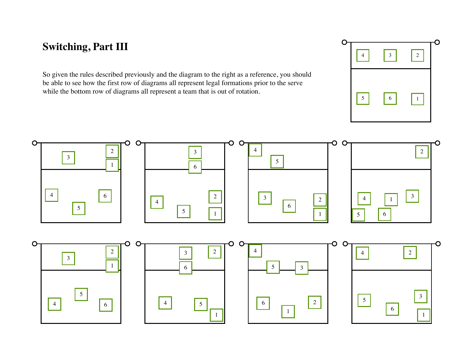# **Switching, Part III**

So given the rules described previously and the diagram to the right as a reference, you should be able to see how the first row of diagrams all represent legal formations prior to the serve while the bottom row of diagrams all represent a team that is out of rotation.



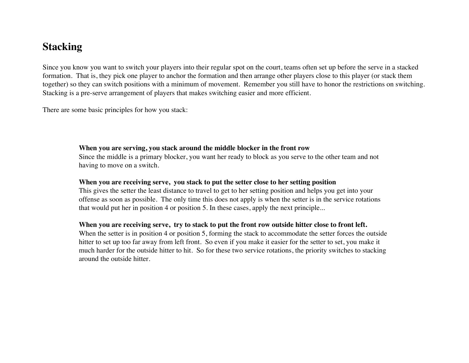# **Stacking**

Since you know you want to switch your players into their regular spot on the court, teams often set up before the serve in a stacked formation. That is, they pick one player to anchor the formation and then arrange other players close to this player (or stack them together) so they can switch positions with a minimum of movement. Remember you still have to honor the restrictions on switching. Stacking is a pre-serve arrangement of players that makes switching easier and more efficient.

There are some basic principles for how you stack:

#### **When you are serving, you stack around the middle blocker in the front row**

Since the middle is a primary blocker, you want her ready to block as you serve to the other team and not having to move on a switch.

### **When you are receiving serve, you stack to put the setter close to her setting position**

This gives the setter the least distance to travel to get to her setting position and helps you get into your offense as soon as possible. The only time this does not apply is when the setter is in the service rotations that would put her in position 4 or position 5. In these cases, apply the next principle...

### **When you are receiving serve, try to stack to put the front row outside hitter close to front left.**

When the setter is in position 4 or position 5, forming the stack to accommodate the setter forces the outside hitter to set up too far away from left front. So even if you make it easier for the setter to set, you make it much harder for the outside hitter to hit. So for these two service rotations, the priority switches to stacking around the outside hitter.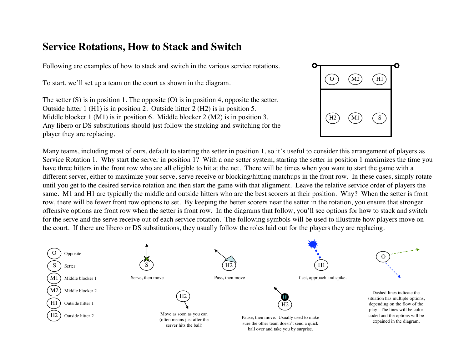# **Service Rotations, How to Stack and Switch**

Following are examples of how to stack and switch in the various service rotations.

To start, we'll set up a team on the court as shown in the diagram.

The setter  $(S)$  is in position 1. The opposite  $(O)$  is in position 4, opposite the setter. Outside hitter 1 (H1) is in position 2. Outside hitter 2 (H2) is in position 5. Middle blocker 1 (M1) is in position 6. Middle blocker 2 (M2) is in position 3. Any libero or DS substitutions should just follow the stacking and switching for the player they are replacing.



Many teams, including most of ours, default to starting the setter in position 1, so it's useful to consider this arrangement of players as Service Rotation 1. Why start the server in position 1? With a one setter system, starting the setter in position 1 maximizes the time you have three hitters in the front row who are all eligible to hit at the net. There will be times when you want to start the game with a different server, either to maximize your serve, serve receive or blocking/hitting matchups in the front row. In these cases, simply rotate until you get to the desired service rotation and then start the game with that alignment. Leave the relative service order of players the same. M1 and H1 are typically the middle and outside hitters who are the best scorers at their position. Why? When the setter is front row, there will be fewer front row options to set. By keeping the better scorers near the setter in the rotation, you ensure that stronger offensive options are front row when the setter is front row. In the diagrams that follow, you'll see options for how to stack and switch for the serve and the serve receive out of each service rotation. The following symbols will be used to illustrate how players move on the court. If there are libero or DS substitutions, they usually follow the roles laid out for the players they are replacing.

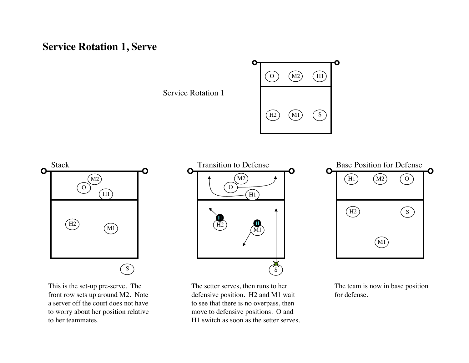# **Service Rotation 1, Serve**

Service Rotation 1





This is the set-up pre-serve. The front row sets up around M2. Note a server off the court does not have to worry about her position relative to her teammates.



The setter serves, then runs to her defensive position. H2 and M1 wait to see that there is no overpass, then move to defensive positions. O and H1 switch as soon as the setter serves.

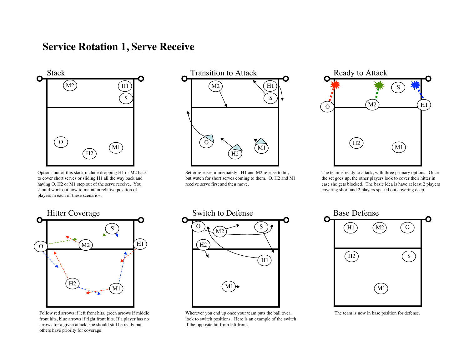# **Service Rotation 1, Serve Receive**



Options out of this stack include dropping H1 or M2 back to cover short serves or sliding H1 all the way back and having O, H2 or M1 step out of the serve receive. You should work out how to maintain relative position of players in each of these scenarios.



Setter releases immediately. H1 and M2 release to hit, but watch for short serves coming to them. O, H2 and M1 receive serve first and then move.





Follow red arrows if left front hits, green arrows if middle front hits, blue arrows if right front hits. If a player has no arrows for a given attack, she should still be ready but others have priority for coverage.



Wherever you end up once your team puts the ball over, look to switch positions. Here is an example of the switch if the opposite hit from left front.



The team is now in base position for defense.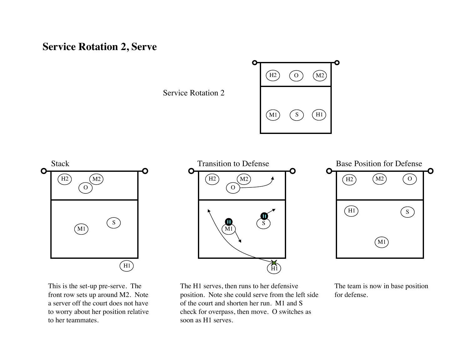# **Service Rotation 2, Serve**

Service Rotation 2





This is the set-up pre-serve. The front row sets up around M2. Note a server off the court does not have to worry about her position relative to her teammates.



The H1 serves, then runs to her defensive position. Note she could serve from the left side of the court and shorten her run. M1 and S check for overpass, then move. O switches as soon as H1 serves.

 $(H1)$  $(M1)$  $(H2)$   $(M2)$   $(O$  $\mathcal{S}$ M2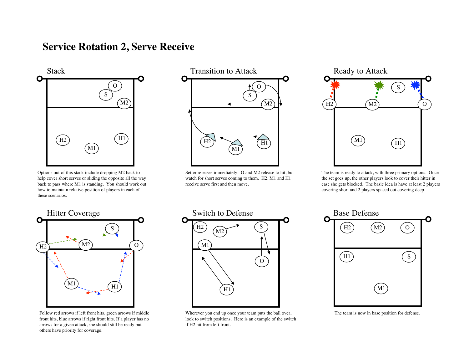# **Service Rotation 2, Serve Receive**



Options out of this stack include dropping M2 back to help cover short serves or sliding the opposite all the way back to pass where M1 is standing. You should work out how to maintain relative position of players in each of these scenarios.



Setter releases immediately. O and M2 release to hit, but watch for short serves coming to them. H2, M1 and H1 receive serve first and then move.





Follow red arrows if left front hits, green arrows if middle front hits, blue arrows if right front hits. If a player has no arrows for a given attack, she should still be ready but others have priority for coverage.



Wherever you end up once your team puts the ball over, look to switch positions. Here is an example of the switch if H2 hit from left front.



The team is now in base position for defense.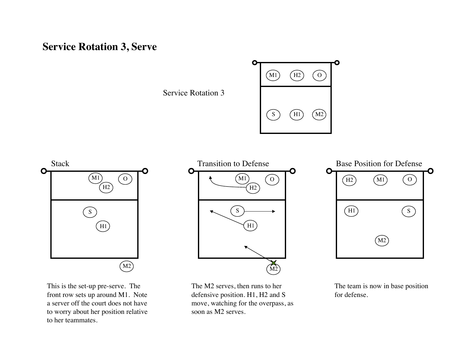# **Service Rotation 3, Serve**

Service Rotation 3





This is the set-up pre-serve. The front row sets up around M1. Note a server off the court does not have to worry about her position relative to her teammates.



The M2 serves, then runs to her defensive position. H1, H2 and S move, watching for the overpass, as soon as M2 serves.

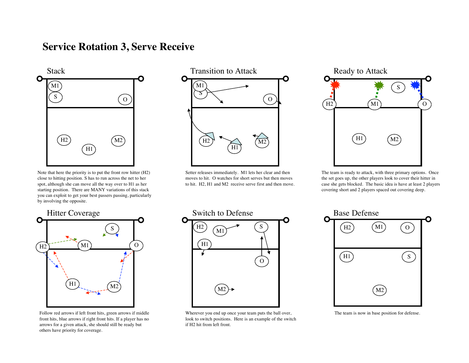# **Service Rotation 3, Serve Receive**



Note that here the priority is to put the front row hitter (H2) close to hitting position. S has to run across the net to her spot, although she can move all the way over to H1 as her starting position. There are MANY variations of this stack you can exploit to get your best passers passing, particularly by involving the opposite.



Setter releases immediately. M1 lets her clear and then moves to hit. O watches for short serves but then moves to hit. H2, H1 and M2 receive serve first and then move.





Follow red arrows if left front hits, green arrows if middle front hits, blue arrows if right front hits. If a player has no arrows for a given attack, she should still be ready but others have priority for coverage.



Wherever you end up once your team puts the ball over, look to switch positions. Here is an example of the switch if H2 hit from left front.



The team is now in base position for defense.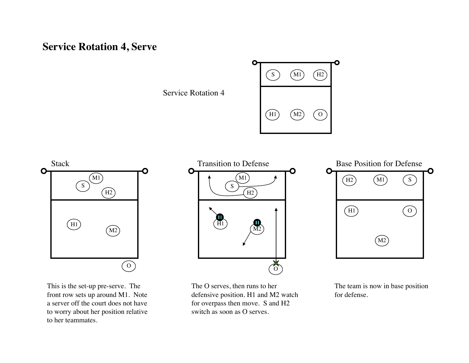# **Service Rotation 4, Serve**

Service Rotation 4





This is the set-up pre-serve. The front row sets up around M1. Note a server off the court does not have to worry about her position relative to her teammates.



The O serves, then runs to her defensive position. H1 and M2 watch for overpass then move. S and H2 switch as soon as O serves.

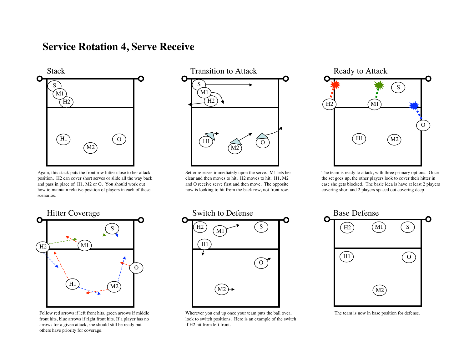# **Service Rotation 4, Serve Receive**



Again, this stack puts the front row hitter close to her attack position. H2 can cover short serves or slide all the way back and pass in place of H1, M2 or O. You should work out how to maintain relative position of players in each of these scenarios.



Setter releases immediately upon the serve. M1 lets her clear and then moves to hit. H2 moves to hit. H1, M2 and O receive serve first and then move. The opposite now is looking to hit from the back row, not front row.





Follow red arrows if left front hits, green arrows if middle front hits, blue arrows if right front hits. If a player has no arrows for a given attack, she should still be ready but others have priority for coverage.



Wherever you end up once your team puts the ball over, look to switch positions. Here is an example of the switch if H2 hit from left front.



The team is now in base position for defense.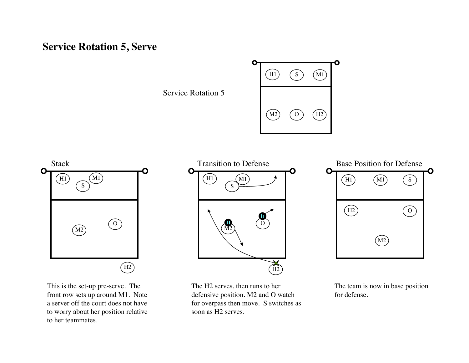# **Service Rotation 5, Serve**

Service Rotation 5





This is the set-up pre-serve. The front row sets up around M1. Note a server off the court does not have to worry about her position relative to her teammates.



The H2 serves, then runs to her defensive position. M2 and O watch for overpass then move. S switches as soon as H2 serves.



The team is now in base position for defense.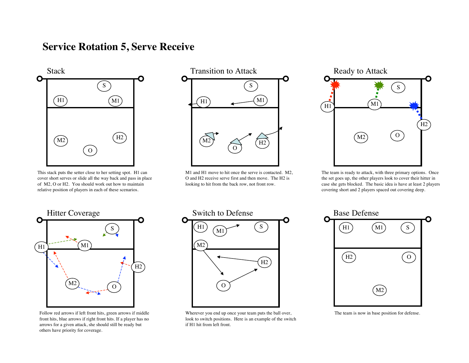# **Service Rotation 5, Serve Receive**



This stack puts the setter close to her setting spot. H1 can cover short serves or slide all the way back and pass in place of M2, O or H2. You should work out how to maintain relative position of players in each of these scenarios.



M1 and H1 move to hit once the serve is contacted. M2, O and H2 receive serve first and then move. The H2 is looking to hit from the back row, not front row.





Follow red arrows if left front hits, green arrows if middle front hits, blue arrows if right front hits. If a player has no arrows for a given attack, she should still be ready but others have priority for coverage.



Wherever you end up once your team puts the ball over, look to switch positions. Here is an example of the switch if H1 hit from left front.



The team is now in base position for defense.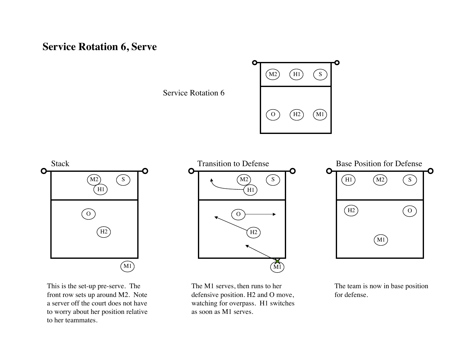# **Service Rotation 6, Serve**

Service Rotation 6





This is the set-up pre-serve. The front row sets up around M2. Note a server off the court does not have to worry about her position relative to her teammates.



The M1 serves, then runs to her defensive position. H2 and O move, watching for overpass. H1 switches as soon as M1 serves.